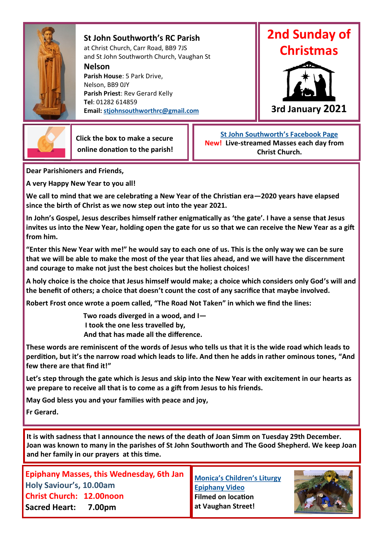

**St John Southworth's RC Parish** at Christ Church, Carr Road, BB9 7JS and St John Southworth Church, Vaughan St

**Nelson**

**Parish House**: 5 Park Drive, Nelson, BB9 0JY **Parish Priest**: Rev Gerard Kelly **Tel**: 01282 614859 **Email: [stjohnsouthworthrc@gmail.com](mailto:stjohnsouthworthrc@gmail.com)**





 **Click the box to make a secure online donation to the parish!**

 **[St John Southworth's Facebook Page](https://www.facebook.com/Parish-of-St-John-Southworth-in-Nelson-105718084323986) New! Live-streamed Masses each day from Christ Church.**

**Dear Parishioners and Friends,**

**A very Happy New Year to you all!**

**We call to mind that we are celebrating a New Year of the Christian era—2020 years have elapsed since the birth of Christ as we now step out into the year 2021.**

**In John's Gospel, Jesus describes himself rather enigmatically as 'the gate'. I have a sense that Jesus invites us into the New Year, holding open the gate for us so that we can receive the New Year as a gift from him.** 

**"Enter this New Year with me!" he would say to each one of us. This is the only way we can be sure that we will be able to make the most of the year that lies ahead, and we will have the discernment and courage to make not just the best choices but the holiest choices!**

**A holy choice is the choice that Jesus himself would make; a choice which considers only God's will and the benefit of others; a choice that doesn't count the cost of any sacrifice that maybe involved.**

**Robert Frost once wrote a poem called, "The Road Not Taken" in which we find the lines:** 

 **Two roads diverged in a wood, and I— I took the one less travelled by, And that has made all the difference.**

**These words are reminiscent of the words of Jesus who tells us that it is the wide road which leads to perdition, but it's the narrow road which leads to life. And then he adds in rather ominous tones, "And few there are that find it!"**

**Let's step through the gate which is Jesus and skip into the New Year with excitement in our hearts as we prepare to receive all that is to come as a gift from Jesus to his friends.**

**May God bless you and your families with peace and joy,** 

**Fr Gerard.**

**It is with sadness that I announce the news of the death of Joan Simm on Tuesday 29th December. Joan was known to many in the parishes of St John Southworth and The Good Shepherd. We keep Joan and her family in our prayers at this time.**

**Epiphany Masses, this Wednesday, 6th Jan Holy Saviour's, 10.00am Christ Church: 12.00noon Sacred Heart: 7.00pm**

**[Monica's Children's Liturgy](https://youtu.be/O4B3HSIy_2Y)  [Epiphany Video](https://youtu.be/O4B3HSIy_2Y)  Filmed on location at Vaughan Street!**